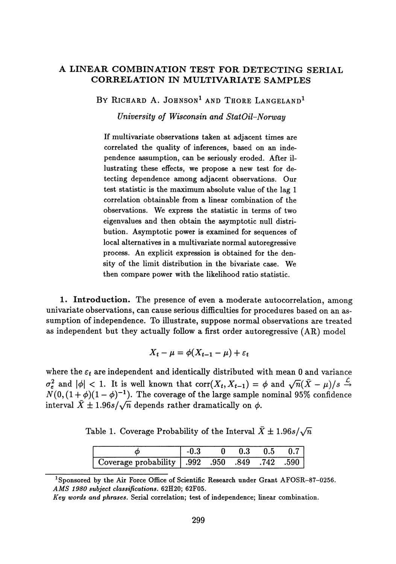## **A LINEAR COMBINATION TEST FOR** DETECTING SERIAL **CORRELATION IN MULTIVARIATE SAMPLES**

BY RICHARD A. JOHNSON<sup>1</sup> AND THORE LANGELAND<sup>1</sup>

*University of Wisconsin and StatOil-Norway*

If multivariate observations taken at adjacent times are correlated the quality of inferences, based on an inde pendence assumption, can be seriously eroded. After il lustrating these effects, we propose a new test for de tecting dependence among adjacent observations. Our test statistic is the maximum absolute value of the lag 1 correlation obtainable from a linear combination of the observations. We express the statistic in terms of two eigenvalues and then obtain the asymptotic null distri bution. Asymptotic power is examined for sequences of local alternatives in a multivariate normal autoregressive process. An explicit expression is obtained for the den sity of the limit distribution in the bivariate case. We then compare power with the likelihood ratio statistic.

l **Introduction.** The presence of even a moderate autocorrelation, among univariate observations, can cause serious difficulties for procedures based on an as sumption of independence. To illustrate, suppose normal observations are treated as independent but they actually follow a first order autoregressive (AR) model

$$
X_t - \mu = \phi(X_{t-1} - \mu) + \varepsilon_t
$$

where the  $\varepsilon_t$  are independent and identically distributed with mean 0 and variance  $\frac{2}{\varepsilon}$  and  $|\phi|$  < 1. It is well known that  $\text{corr}(X_t, X_{t-1}) = \phi$  and  $\sqrt{n}(\bar{X} - \mu)/s \stackrel{\mathcal{L}}{\rightarrow}$  $N(0, (1 + \phi)(1 - \phi)^{-1})$ . The coverage of the large sample nominal 95% confidence interval  $\bar{X} \pm 1.96s/\sqrt{n}$  depends rather dramatically on  $\phi$ .

Table 1. Coverage Probability of the Interval  $\bar{X} \pm 1.96s/\sqrt{n}$ 

|                                                 |  | - 0.5 |  |
|-------------------------------------------------|--|-------|--|
| Coverage probability   .992 .950 .849 .742 .590 |  |       |  |

**Sponsored by the Air Force Office of Scientific Research under Grant AFOSR-87-0256.** *AMS 1980 subject classifications.* **62H20; 62F05.**

*Key words and phrases.* **Serial correlation; test of independence; linear combination.**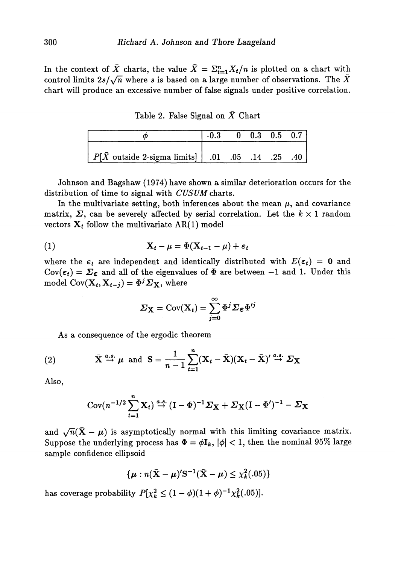In the context of  $\bar{X}$  charts, the value  $\bar{X} = \sum_{t=1}^n X_t/n$  is plotted on a chart with control limits  $2s/\sqrt{n}$  where *s* is based on a large number of observations. The  $\bar{X}$ chart will produce an excessive number of false signals under positive correlation.

Table 2. False Signal on *X* Chart

|                                                           | $-0.3$ 0 0.3 0.5 0.7 |  |  |
|-----------------------------------------------------------|----------------------|--|--|
| $P[\bar{X}$ outside 2-sigma limits  $.01$ .05 .14 .25 .40 |                      |  |  |

Johnson and Bagshaw (1974) have shown a similar deterioration occurs for the distribution of time to signal with *CUSUM* charts.

In the multivariate setting, both inferences about the mean  $\mu$ , and covariance matrix,  $\Sigma$ , can be severely affected by serial correlation. Let the  $k \times 1$  random vectors  $X_t$  follow the multivariate  $AR(1)$  model

(1) 
$$
\mathbf{X}_t - \mu = \Phi(\mathbf{X}_{t-1} - \mu) + \varepsilon_t
$$

where the  $\varepsilon_t$  are independent and identically distributed with  $E(\varepsilon_t) = 0$  and Cov( $\varepsilon_t$ ) =  $\Sigma_{\varepsilon}$  and all of the eigenvalues of  $\Phi$  are between -1 and 1. Under this model  $\mathrm{Cov}(\mathbf{X}_t,\mathbf{X}_{t-j}) = \Phi^j\boldsymbol{\varSigma}_{\mathbf{X}},$  where

$$
\Sigma_{\mathbf{X}} = \text{Cov}(\mathbf{X}_t) = \sum_{j=0}^{\infty} \Phi^j \Sigma_{\epsilon} \Phi^{\prime j}
$$

As a consequence of the ergodic theorem

(2) 
$$
\bar{\mathbf{X}} \stackrel{a.s.}{\rightarrow} \mu
$$
 and  $\mathbf{S} = \frac{1}{n-1} \sum_{t=1}^{n} (\mathbf{X}_t - \bar{\mathbf{X}}) (\mathbf{X}_t - \bar{\mathbf{X}})^t \stackrel{a.s.}{\rightarrow} \Sigma_{\mathbf{X}}$ 

Also,

$$
Cov(n^{-1/2}\sum_{t=1}^{n} \mathbf{X}_{t}) \stackrel{a.s.}{\rightarrow} (\mathbf{I} - \Phi)^{-1}\mathbf{\Sigma}_{\mathbf{X}} + \mathbf{\Sigma}_{\mathbf{X}}(\mathbf{I} - \Phi')^{-1} - \mathbf{\Sigma}_{\mathbf{X}}
$$

and  $\sqrt{n}(\mathbf{X} - \boldsymbol{\mu})$  is asymptotically normal with this limiting covariance matrix. Suppose the underlying process has  $\Phi = \phi I_k$ ,  $|\phi| < 1$ , then the nominal 95% large sample confidence ellipsoid

$$
\{\boldsymbol{\mu}: n(\bar{\mathbf{X}}-\boldsymbol{\mu})'\mathbf{S}^{-1}(\bar{\mathbf{X}}-\boldsymbol{\mu})\leq \chi^2_k(.05)\}
$$

has coverage probability  $P[\chi_k^2 \leq (1 - \phi)(1 + \phi)^{-1} \chi_k^2(.05)].$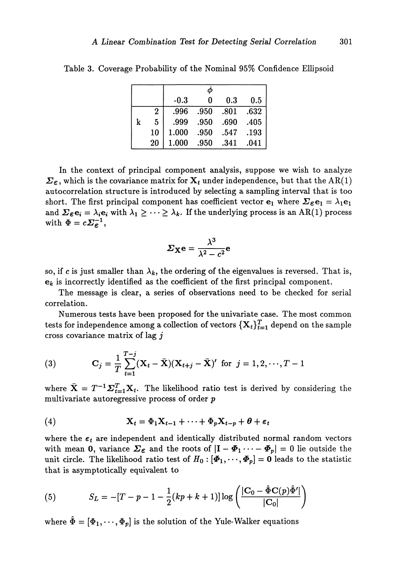|   |                | $-0.3$ | 0    | 0.3  | 0.5  |
|---|----------------|--------|------|------|------|
|   | $\overline{2}$ | .996   | .950 | .801 | .632 |
| k | 5              | .999   | .950 | .690 | .405 |
|   | 10             | 1.000  | .950 | .547 | .193 |
|   | 20             | 1.000  | .950 | .341 | .041 |

Table 3. Coverage Probability of the Nominal 95% Confidence Ellipsoid

In the context of principal component analysis, suppose we wish to analyze  $\Sigma_{\epsilon}$ , which is the covariance matrix for  $X_t$  under independence, but that the AR(1) autocorrelation structure is introduced by selecting a sampling interval that is too short. The first principal component has coefficient vector  $e_1$  where  $\Sigma_{\epsilon}e_1 = \lambda_1 e_1$ and  $\bm{\Sigma_{\varepsilon}} \bm{\mathbf{e}}_i = \lambda_i \bm{\mathbf{e}}_i$  with  $\lambda_1 \geq \cdots \geq \lambda_k.$  If the underlying process is an AR(1) process with  $\Phi = c \Sigma_{\varepsilon}^{-1}$ ,

$$
\Sigma_{\mathbf{X}}\mathbf{e} = \frac{\lambda^3}{\lambda^2 - c^2}\mathbf{e}
$$

so, if *c* is just smaller than  $\lambda_k$ , the ordering of the eigenvalues is reversed. That is,  $\mathbf{e}_k$  is incorrectly identified as the coefficient of the first principal component.

The message is clear, a series of observations need to be checked for serial correlation.

Numerous tests have been proposed for the univariate case. The most common  $\text{tests for independence among a collection of vectors } \{\mathbf{X}_t\}_{t=1}^T \text{ depend on the sample } \mathcal{X}_t$ cross covariance matrix of lag *j*

(3) 
$$
\mathbf{C}_{j} = \frac{1}{T} \sum_{t=1}^{T-j} (\mathbf{X}_{t} - \bar{\mathbf{X}}) (\mathbf{X}_{t+j} - \bar{\mathbf{X}})' \text{ for } j = 1, 2, \cdots, T-1
$$

where  $\bar{X} = T^{-1} \Sigma_{i=1}^T X_i$ . The likelihood ratio test is derived by considering the multivariate autoregressive process of order *p*

(4) 
$$
\mathbf{X}_t = \Phi_1 \mathbf{X}_{t-1} + \cdots + \Phi_p \mathbf{X}_{t-p} + \boldsymbol{\theta} + \boldsymbol{\varepsilon}_t
$$

where the  $\boldsymbol{\varepsilon} _t$  are independent and identically distributed normal random vectors with mean 0, variance  $\mathbf{\Sigma}_{\bm{\varepsilon}}$  and the roots of  $|\mathbf{I} - \bm{\varPhi}_1 \cdots - \bm{\varPhi}_p| = 0$  lie outside the unit circle. The likelihood ratio test of  $H_0: [\mathbf{\Phi}_1, \cdots, \mathbf{\Phi}_p] = \mathbf{0}$  leads to the statistic that is asymptotically equivalent to

(5) 
$$
S_L = -[T - p - 1 - \frac{1}{2}(kp + k + 1)]\log\left(\frac{|\mathbf{C}_0 - \hat{\Phi}\mathbf{C}(p)\hat{\Phi}'|}{|\mathbf{C}_0|}\right)
$$

where  $\hat{\Phi} = [\Phi_1, \cdots, \Phi_p]$  is the solution of the Yule-Walker equations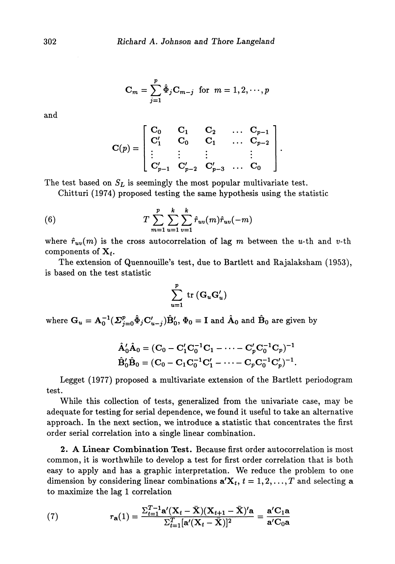$$
\mathbf{C}_m = \sum_{j=1}^p \hat{\Phi}_j \mathbf{C}_{m-j} \text{ for } m = 1, 2, \cdots, p
$$

and

$$
\mathbf{C}(p) = \begin{bmatrix} \mathbf{C}_0 & \mathbf{C}_1 & \mathbf{C}_2 & \dots & \mathbf{C}_{p-1} \\ \mathbf{C}'_1 & \mathbf{C}_0 & \mathbf{C}_1 & \dots & \mathbf{C}_{p-2} \\ \vdots & \vdots & \vdots & & \vdots \\ \mathbf{C}'_{p-1} & \mathbf{C}'_{p-2} & \mathbf{C}'_{p-3} & \dots & \mathbf{C}_0 \end{bmatrix}
$$

The test based on  $S_L$  is seemingly the most popular multivariate test.

Chitturi (1974) proposed testing the same hypothesis using the statistic

(6) 
$$
T \sum_{m=1}^{p} \sum_{u=1}^{k} \sum_{v=1}^{k} \hat{r}_{uv}(m) \hat{r}_{uv}(-m)
$$

where  $\hat{r}_{uv}(m)$  is the cross autocorrelation of lag m between the u-th and v-th components of  $\mathbf{X}_t$ .

The extension of Quennouille's test, due to Bartlett and Rajalaksham (1953), is based on the test statistic

$$
\sum_{u=1}^{p} \text{ tr }(\mathbf{G}_{u} \mathbf{G}_{u}')
$$

where  $G_u = A_0^{-1} (\mathit{\Sigma}_{j=0}^p \hat \Phi_j C_{u-j}') \hat B_0', \, \Phi_0 = {\rm I}$  and  $\hat A_0$  and  $\hat B_0$  are given by

$$
\hat{A}'_0 \hat{A}_0 = (C_0 - C'_1 C_0^{-1} C_1 - \dots - C'_p C_0^{-1} C_p)^{-1}
$$
  

$$
\hat{B}'_0 \hat{B}_0 = (C_0 - C_1 C_0^{-1} C'_1 - \dots - C_p C_0^{-1} C'_p)^{-1}.
$$

Legget (1977) proposed a multivariate extension of the Bartlett periodogram test.

While this collection of tests, generalized from the univariate case, may be adequate for testing for serial dependence, we found it useful to take an alternative approach. In the next section, we introduce a statistic that concentrates the first order serial correlation into a single linear combination.

**2. A Linear Combination Test.** Because first order autocorrelation is most common, it is worthwhile to develop a test for first order correlation that is both easy to apply and has a graphic interpretation. We reduce the problem to one dimension by considering linear combinations  $\mathbf{a}'\mathbf{X}_t$ ,  $t = 1, 2, ..., T$  and selecting a to maximize the lag 1 correlation

(7) 
$$
r_{\mathbf{a}}(1) = \frac{\sum_{t=1}^{T-1} \mathbf{a}'(\mathbf{X}_t - \bar{\mathbf{X}})(\mathbf{X}_{t+1} - \bar{\mathbf{X}})'\mathbf{a}}{\sum_{t=1}^{T} [\mathbf{a}'(\mathbf{X}_t - \bar{\mathbf{X}})]^2} = \frac{\mathbf{a}'\mathbf{C}_1\mathbf{a}}{\mathbf{a}'\mathbf{C}_0\mathbf{a}}
$$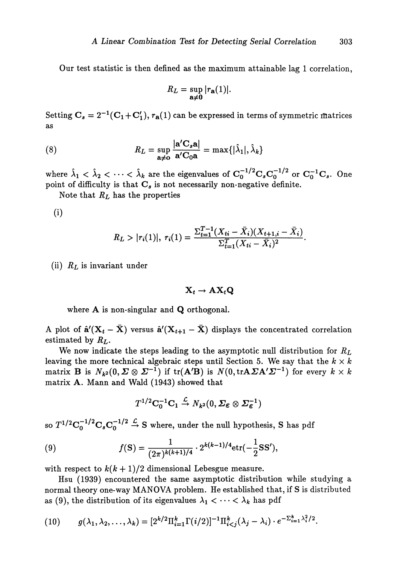Our test statistic is then defined as the maximum attainable lag 1 correlation,

$$
R_L = \sup_{\mathbf{a}\neq \mathbf{0}} |r_{\mathbf{a}}(1)|.
$$

Setting  $\mathbf{C}_s = 2^{-1}(\mathbf{C}_1 + \mathbf{C}'_1)$ ,  $r_{\mathbf{a}}(1)$  can be expressed in terms of symmetric matrices as

(8) 
$$
R_L = \sup_{\mathbf{a}\neq\mathbf{0}} \frac{|\mathbf{a}'\mathbf{C}_s\mathbf{a}|}{\mathbf{a}'\mathbf{C}_0\mathbf{a}} = \max\{|\hat{\lambda}_1|, \hat{\lambda}_k\}
$$

where  $\hat{\lambda}_1 < \hat{\lambda}_2 < \cdots < \hat{\lambda}_k$  are the eigenvalues of  $\textbf{C}_0^{-1/2}\textbf{C}_s\textbf{C}_0^{-1/2}$  or  $\textbf{C}_0^{-1}\textbf{C}_s$ . One point of difficulty is that *C<sup>s</sup>* is not necessarily non-negative definite.

Note that *RL* has the properties

**(i)**

$$
R_L > |r_i(1)|, r_i(1) = \frac{\sum_{t=1}^{T-1} (X_{ti} - \bar{X}_i)(X_{t+1,i} - \bar{X}_i)}{\sum_{t=1}^{T} (X_{ti} - \bar{X}_i)^2}.
$$

(ii) *RL* is invariant under

$$
\mathbf{X}_t \to \mathbf{A} \mathbf{X}_t \mathbf{Q}
$$

where **A** is non-singular and **Q** orthogonal.

A plot of  $\hat{\mathbf{a}}'(\mathbf{X}_t - \bar{\mathbf{X}})$  versus  $\hat{\mathbf{a}}'(\mathbf{X}_{t+1} - \bar{\mathbf{X}})$  displays the concentrated correlation estimated by *RL.*

We now indicate the steps leading to the asymptotic null distribution for *RL* leaving the more technical algebraic steps until Section 5. We say that the  $k \times k$  $\mathrm{matrix} \ \mathbf{B} \ \text{ is } \ N_{\bm{k}^{\bm{2}}} (0, \bm{\varSigma} \otimes \bm{\varSigma}^{-1}) \ \text{if} \ \mathrm{tr}(\mathbf{A}'\mathbf{B}) \ \text{is } \ N(0, \mathrm{tr}\mathbf{A}\bm{\varSigma} \mathbf{A}'\bm{\varSigma}^{-1}) \ \text{for every} \ \textit{k} \times \textit{k}$ matrix A. Mann and Wald (1943) showed that

$$
T^{1/2}\mathbf{C}_0^{-1}\mathbf{C}_1 \stackrel{\mathcal{L}}{\rightarrow} N_{k^2}(0,\mathcal{L}_{\boldsymbol{\varepsilon}}\otimes \mathcal{L}_{\boldsymbol{\varepsilon}}^{-1})
$$

so  $T^{1/2}C_0^{-1/2}C_sC_0^{-1/2} \stackrel{L}{\rightarrow} S$  where, under the null hypothesis, S has pd

(9) 
$$
f(\mathbf{S}) = \frac{1}{(2\pi)^{k(k+1)/4}} \cdot 2^{k(k-1)/4} \text{etr}(-\frac{1}{2}\mathbf{S}\mathbf{S}'),
$$

with respect to  $k(k + 1)/2$  dimensional Lebesgue measure.

Hsu (1939) encountered the same asymptotic distribution while studying a normal theory one-way MANOVA problem. He established that, if S is distributed as (9), the distribution of its eigenvalues  $\lambda_1 < \cdots < \lambda_k$  has pdf

$$
(10) \t g(\lambda_1, \lambda_2, \ldots, \lambda_k) = [2^{k/2} \Pi_{i=1}^k \Gamma(i/2)]^{-1} \Pi_{i
$$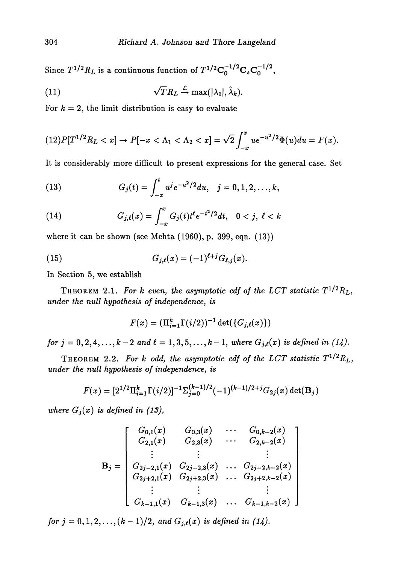Since  $T^{1/2}R_L$  is a continuous function of  $T^{1/2}{\bf C}_0^{-1/2}{\bf C}_s{\bf C}_0^{-1/2}$ 

(11) 
$$
\sqrt{T}R_L \stackrel{\mathcal{L}}{\rightarrow} \max(|\lambda_1|, \hat{\lambda}_k).
$$

For  $k = 2$ , the limit distribution is easy to evaluate

$$
(12)P[T^{1/2}R_L < x] \to P[-x < \Lambda_1 < \Lambda_2 < x] = \sqrt{2} \int_{-x}^x u e^{-u^2/2} \Phi(u) du = F(x).
$$

It is considerably more difficult to present expressions for the general case. Set

(13) 
$$
G_j(t) = \int_{-x}^t u^j e^{-u^2/2} du, \quad j = 0, 1, 2, \ldots, k,
$$

(14) 
$$
G_{j,\ell}(x) = \int_{-x}^{x} G_j(t) t^{\ell} e^{-t^2/2} dt, \quad 0 < j, \ \ell < k
$$

where it can be shown (see Mehta (1960), p. 399, eqn. (13))

(15) 
$$
G_{j,\ell}(x) = (-1)^{\ell+j} G_{\ell,j}(x).
$$

In Section 5, we establish

THEOREM 2.1. For k even, the asymptotic cdf of the LCT statistic  $T^{1/2}R_L$ , *under the null hypothesis of independence^ is*

$$
F(x) = (\Pi_{i=1}^k \Gamma(i/2))^{-1} \det(\{G_{j,\ell}(x)\})
$$

*for*  $j = 0, 2, 4, ..., k-2$  and  $\ell = 1, 3, 5, ..., k-1$ , where  $G_{j,\ell}(x)$  is defined in (14).

THEOREM 2.2. For k odd, the asymptotic cdf of the LCT statistic  $T^{1/2}R_L$ , *under the null hypothesis of independence^ is*

$$
F(x) = [2^{1/2} \Pi_{i=1}^{k} \Gamma(i/2)]^{-1} \sum_{j=0}^{(k-1)/2} (-1)^{(k-1)/2+j} G_{2j}(x) \det(\mathbf{B}_j)
$$

*where*  $G_j(x)$  *is defined in (13)*,

$$
\mathbf{B}_{j} = \begin{bmatrix} G_{0,1}(x) & G_{0,3}(x) & \cdots & G_{0,k-2}(x) \\ G_{2,1}(x) & G_{2,3}(x) & \cdots & G_{2,k-2}(x) \\ \vdots & \vdots & & \vdots \\ G_{2j-2,1}(x) & G_{2j-2,3}(x) & \cdots & G_{2j-2,k-2}(x) \\ G_{2j+2,1}(x) & G_{2j+2,3}(x) & \cdots & G_{2j+2,k-2}(x) \\ \vdots & \vdots & & \vdots \\ G_{k-1,1}(x) & G_{k-1,3}(x) & \cdots & G_{k-1,k-2}(x) \end{bmatrix}
$$

*for*  $j = 0, 1, 2, \ldots, (k-1)/2$ , and  $G_{j,\ell}(x)$  is defined in (14).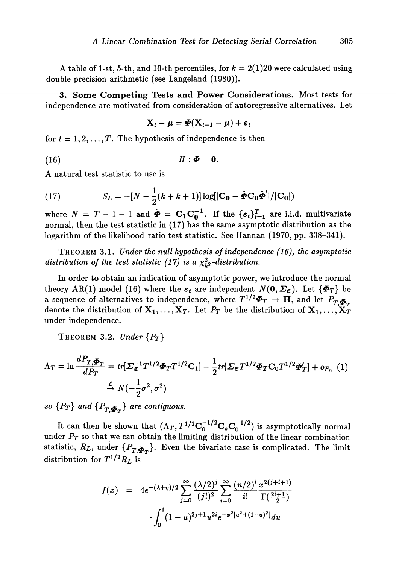A table of 1-st, 5-th, and 10-th percentiles, for  $k = 2(1)20$  were calculated using double precision arithmetic (see Langeland (1980)).

**3. Some Competing Tests and Power Considerations.** Most tests for independence are motivated from consideration of autoregressive alternatives. Let

$$
\mathbf{X}_t - \boldsymbol{\mu} = \boldsymbol{\Phi}(\mathbf{X}_{t-1} - \boldsymbol{\mu}) + \boldsymbol{\varepsilon}_t
$$

for  $t = 1, 2, \ldots, T$ . The hypothesis of independence is then

(16)  $H: \Phi = 0.$ 

A natural test statistic to use is

(17) 
$$
S_L = -[N - \frac{1}{2}(k + k + 1)] \log[|\mathbf{C_0} - \hat{\boldsymbol{\Phi}} \mathbf{C_0} \hat{\boldsymbol{\Phi}}'|/|\mathbf{C_0}|)
$$

where  $N = T - 1 - 1$  and  $\tilde{\Phi} = C_1 C_0^{-1}$ . If the  $\{\epsilon_t\}_{t=1}^T$  are i.i.d. multivariate normal, then the test statistic in (17) has the same asymptotic distribution as the logarithm of the likelihood ratio test statistic. See Hannan (1970, pp. 338-341).

THEOREM 3.1. *Under the null hypothesis of independence (16), the asymptotic* distribution of the test statistic (17) is a  $\chi^2_{k^2}$ -distribution.

In order to obtain an indication of asymptotic power, we introduce the normal theory AR(1) model (16) where the  $\varepsilon_t$  are independent  $N(\mathbf{0}, \Sigma_{\varepsilon})$ . Let  $\{\Phi_T\}$  be a sequence of alternatives to independence, where  $T^{1/2}\mathbf{\Phi}_T \rightarrow \mathbf{H}$ , and let  $P_T$ denote the distribution of  $X_1, \ldots, X_T$ . Let  $P_T$  be the distribution of  $X_1, \ldots, X_T$ under independence.

THEOREM 3.2. *Under {PT}*

$$
\Lambda_T = \ln \frac{dP_{T,\Phi_T}}{dP_T} = tr[\Sigma_{\epsilon}^{-1}T^{1/2}\Phi_T T^{1/2}C_1] - \frac{1}{2}tr[\Sigma_{\epsilon}T^{1/2}\Phi_T C_0 T^{1/2}\Phi_T'] + o_{P_n}(1)
$$

$$
\stackrel{\mathcal{L}}{\rightarrow} N(-\frac{1}{2}\sigma^2, \sigma^2)
$$

*so*  $\{P_T\}$  *and*  $\{P_{T,\Phi_{T}}\}$  *are contiguous.* 

It can then be shown that  $(\Lambda_T, T^{1/2}C_0^{-1/2}C_sC_0^{-1/2})$  is asymptotically normal under  $P_T$  so that we can obtain the limiting distribution of the linear combination statistic,  $R_L$ , under  $\{P_{T,\bar{\Phi}_{T}}\}$ . Even the bivariate case is complicated. The limit  $\rm{distribution}$  for  $T^{1/2}R_{L}$  is

$$
f(x) = 4e^{-(\lambda+\eta)/2} \sum_{j=0}^{\infty} \frac{(\lambda/2)^j}{(j!)^2} \sum_{i=0}^{\infty} \frac{(n/2)^i}{i!} \frac{x^{2(j+i+1)}}{\Gamma(\frac{2i+1}{2})}
$$

$$
\cdot \int_0^1 (1-u)^{2j+1} u^{2i} e^{-x^2[u^2+(1-u)^2]} du
$$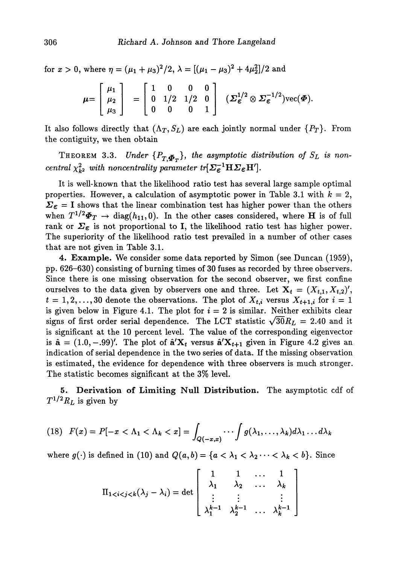for  $x > 0$ , where  $\eta = (\mu_1 + \mu_3)^2/2$ ,  $\lambda = [(\mu_1 - \mu_3)^2 + 4\mu_2^2]/2$  and

$$
\mu = \begin{bmatrix} \mu_1 \\ \mu_2 \\ \mu_3 \end{bmatrix} = \begin{bmatrix} 1 & 0 & 0 & 0 \\ 0 & 1/2 & 1/2 & 0 \\ 0 & 0 & 0 & 1 \end{bmatrix} \quad (\Sigma_{\varepsilon}^{1/2} \otimes \Sigma_{\varepsilon}^{-1/2}) \text{vec}(\Phi).
$$

It also follows directly that  $(\Lambda_T, S_L)$  are each jointly normal under  $\{P_T\}$ . From the contiguity, we then obtain

THEOREM 3.3. Under  $\{P_{T,\Phi_T}\}\$ , the asymptotic distribution of  $S_L$  is non- $\emph{central $\chi_{k^2}^2$ with noncentrality parameter $tr[\varSigma_{\mathcal E}^{-1}]$}$ 

It is well-known that the likelihood ratio test has several large sample optimal properties. However, a calculation of asymptotic power in Table 3.1 with  $k = 2$ ,  $\Sigma_{\epsilon} = I$  shows that the linear combination test has higher power than the others when  $T^{1/2}$  $\Phi_T \rightarrow$  diag( $h_{11}$ , 0). In the other cases considered, where **H** is of full rank or  $\Sigma_{\epsilon}$  is not proportional to I, the likelihood ratio test has higher power. The superiority of the likelihood ratio test prevailed in a number of other cases that are not given in Table 3.1.

**4. Example.** We consider some data reported by Simon (see Duncan (1959), pp. 626-630) consisting of burning times of 30 fuses as recorded by three observers. Since there is one missing observation for the second observer, we first confine ourselves to the data given by observers one and three. Let  $X_t = (X_{t,1}, X_{t,2})'$ ,  $t = 1, 2, \ldots, 30$  denote the observations. The plot of  $X_{t,i}$  versus  $X_{t+1,i}$  for  $i = 1$ is given below in Figure 4.1. The plot for  $i = 2$  is similar. Neither exhibits clear signs of first order serial dependence. The LCT statistic  $\sqrt{30}R_L = 2.40$  and it is significant at the 10 percent level. The value of the corresponding eigenvector is  $\hat{\mathbf{a}} = (1.0, -0.99)'$ . The plot of  $\hat{\mathbf{a}}' \mathbf{X}_t$  versus  $\hat{\mathbf{a}}' \mathbf{X}_{t+1}$  given in Figure 4.2 gives an indication of serial dependence in the two series of data. If the missing observation is estimated, the evidence for dependence with three observers is much stronger. The statistic becomes significant at the 3% level.

**5. Derivation of Limiting Null Distribution.** The asymptotic cdf of  $T^{1/2}R_L$  is given by

$$
(18) \quad F(x) = P[-x < \Lambda_1 < \Lambda_k < x] = \int_{Q(-x,x)} \cdots \int g(\lambda_1, \ldots, \lambda_k) d\lambda_1 \ldots d\lambda_k
$$

where  $g(\cdot)$  is defined in (10) and  $Q(a,b) = \{a < \lambda_1 < \lambda_2 \cdots < \lambda_k < b\}$ . Since

$$
\Pi_{1 < i < j < k}(\lambda_j - \lambda_i) = \det \begin{bmatrix} 1 & 1 & \dots & 1 \\ \lambda_1 & \lambda_2 & \dots & \lambda_k \\ \vdots & \vdots & & \vdots \\ \lambda_1^{k-1} & \lambda_2^{k-1} & \dots & \lambda_k^{k-1} \end{bmatrix}
$$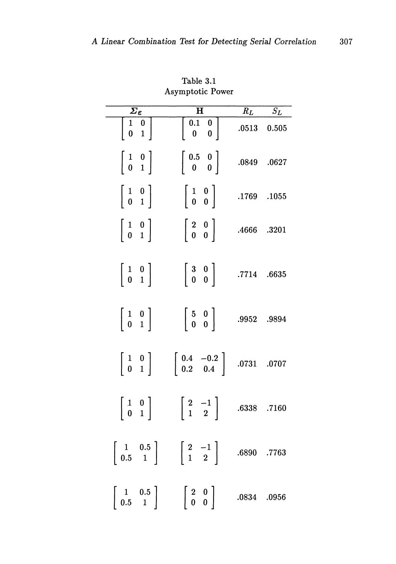| $\varSigma_\varepsilon$                                     | $\overline{\mathbf{H}}$                                             | $\overline{R}_L$ | $\overline{S_L}$ |
|-------------------------------------------------------------|---------------------------------------------------------------------|------------------|------------------|
| $\begin{bmatrix} 1 & 0 \\ 0 & 1 \end{bmatrix}$              | $\begin{bmatrix} 0.1 & 0 \\ 0 & 0 \end{bmatrix}$                    |                  | $.0513$ $0.505$  |
| $\left[\begin{array}{cc} 1 & 0 \\ 0 & 1 \end{array}\right]$ | $\left[\begin{array}{cc} 0.5 & 0\ 0 & 0 \end{array}\right]$         |                  | .0849 .0627      |
| $\left[\begin{array}{cc} 1 & 0 \\ 0 & 1 \end{array}\right]$ | $\left[\begin{array}{cc} 1 & 0 \\ 0 & 0 \end{array}\right]$         | .1769 .1055      |                  |
| $\left[\begin{array}{cc} 1 & 0 \\ 0 & 1 \end{array}\right]$ | $\left[\begin{array}{cc} 2 & 0 \\ 0 & 0 \end{array}\right]$         | .4666 .3201      |                  |
| $\left[\begin{array}{cc} 1 & 0 \ 0 & 1 \end{array}\right]$  | $\left[\begin{array}{cc} 3 & 0 \\ 0 & 0 \end{array}\right]$         | .7714 .6635      |                  |
| $\left[\begin{array}{cc} 1 & 0 \\ 0 & 1 \end{array}\right]$ | $\left[\begin{array}{cc} 5 & 0 \ 0 & 0 \end{array}\right]$          | .9952 .9894      |                  |
| $\left[\begin{array}{cc} 1 & 0 \\ 0 & 1 \end{array}\right]$ | $\begin{bmatrix} 0.4 & -0.2 \\ 0.2 & 0.4 \end{bmatrix}$ .0731 .0707 |                  |                  |
| $\left[\begin{array}{cc} 1 & 0 \\ 0 & 1 \end{array}\right]$ | $\left[\begin{array}{cc} 2 & -1 \\ 1 & 2 \end{array}\right]$        | .6338            | .7160            |
| $\left[\begin{array}{cc}1&0.5\0.5&1\end{array}\right]$      | $\left[\begin{array}{cc} 2 & -1 \\ 1 & 2 \end{array}\right]$        | .6890 .7763      |                  |
| $\begin{array}{cc} 1 & 0.5 \ 0.5 & 1 \end{array}$           | $\left[\begin{array}{cc} 2 & 0 \\ 0 & 0 \end{array}\right]$         | .0834 .0956      |                  |

Table 3.1 Asymptotic Power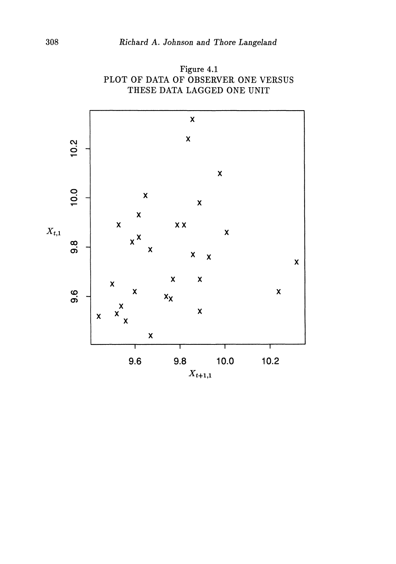

Figure 4.1 PLOT OF DATA OF OBSERVER ONE VERSUS THESE DATA LAGGED ONE UNIT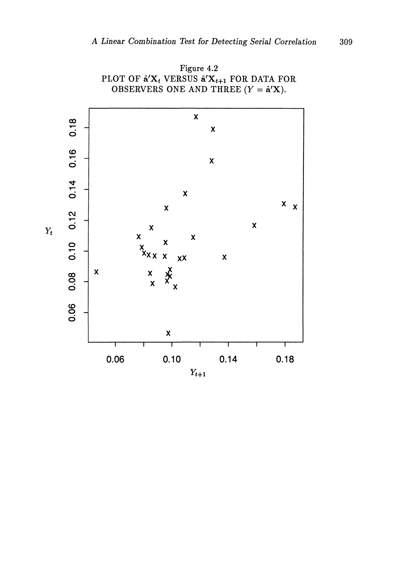

Figure 4.2 PLOT OF  $\mathbf{\hat{a}'}\mathbf{X}_t$  versus  $\mathbf{\hat{a}'}\mathbf{X}_{t+1}$  for data for OBSERVERS ONE AND THREE  $(Y = \hat{\mathbf{a}}' \mathbf{X})$ .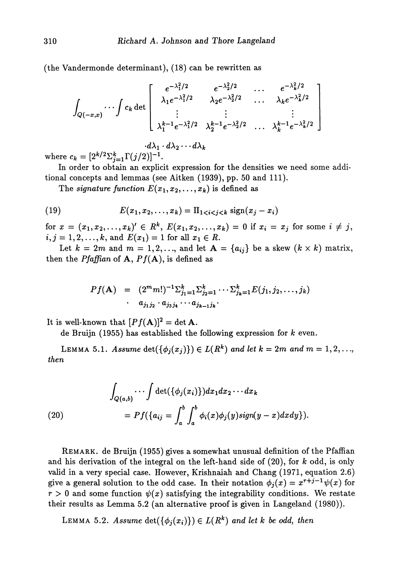(the Vandermonde determinant), (18) can be rewritten as

$$
\int_{Q(-x,x)} \cdots \int c_k \det \begin{bmatrix} e^{-\lambda_1^2/2} & e^{-\lambda_2^2/2} & \cdots & e^{-\lambda_k^2/2} \\ \lambda_1 e^{-\lambda_1^2/2} & \lambda_2 e^{-\lambda_2^2/2} & \cdots & \lambda_k e^{-\lambda_k^2/2} \\ \vdots & \vdots & & \vdots \\ \lambda_1^{k-1} e^{-\lambda_1^2/2} & \lambda_2^{k-1} e^{-\lambda_2^2/2} & \cdots & \lambda_k^{k-1} e^{-\lambda_k^2/2} \end{bmatrix}
$$

where  $c_k = [2^{k/2} \sum_{j=1}^k \Gamma(j/2)]^{-1}$ .

In order to obtain an explicit expression for the densities we need some addi tional concepts and lemmas (see Aitken (1939), pp. 50 and 111).

The *signature function*  $E(x_1, x_2, \ldots, x_k)$  is defined as

(19) 
$$
E(x_1, x_2,..., x_k) = \Pi_{1 < i < j < k} \operatorname{sign}(x_j - x_i)
$$

 $\text{for } x = (x_1, x_2, \ldots, x_k)' \in R^k, \ E(x_1, x_2, \ldots, x_k) = 0 \text{ if } x_i = x_j \text{ for some } i \neq j,$  $i, j = 1, 2, \ldots, k$ , and  $E(x_1) = 1$  for all  $x_1 \in R$ .

Let  $k = 2m$  and  $m = 1, 2, \ldots$ , and let  $A = \{a_{ij}\}\$ be a skew  $(k \times k)$  matrix, then the *Pfaffian* of  $A$ ,  $Pf(A)$ , is defined as

$$
Pf(\mathbf{A}) = (2^m m!)^{-1} \sum_{j_1=1}^k \sum_{j_2=1}^k \cdots \sum_{j_k=1}^k E(j_1, j_2, \ldots, j_k)
$$
  
 
$$
\cdot a_{j_1 j_2} \cdot a_{j_3 j_4} \cdots a_{j_{k-1} j_k}.
$$

It is well-known that  $[Pf(\mathbf{A})]^2 = \det \mathbf{A}$ .

de Bruijn (1955) has established the following expression for *k* even.

LEMMA 5.1. Assume  $\det(\{\phi_j(x_j)\}) \in L(R^k)$  and let  $k = 2m$  and  $m = 1, 2, \ldots$ , *then*

(20)  
\n
$$
\int_{Q(a,b)} \cdots \int \det(\{\phi_j(x_i)\}) dx_1 dx_2 \cdots dx_k
$$
\n
$$
= Pf(\{a_{ij} = \int_a^b \int_a^b \phi_i(x)\phi_j(y) sign(y-x) dxdy\}).
$$

REMARK, de Bruijn (1955) gives a somewhat unusual definition of the Pfaffian and his derivation of the integral on the left-hand side of (20), for *k* odd, is only valid in a very special case. However, Krishnaiah and Chang (1971, equation 2.6) give a general solution to the odd case. In their notation  $\phi_j(x) = x^{r+j-1}\psi(x)$  for  $r > 0$  and some function  $\psi(x)$  satisfying the integrability conditions. We restate their results as Lemma 5.2 (an alternative proof is given in Langeland (1980)).

LEMMA 5.2. Assume  $\det(\{\phi_j(x_i)\}) \in L(R^k)$  and let k be odd, then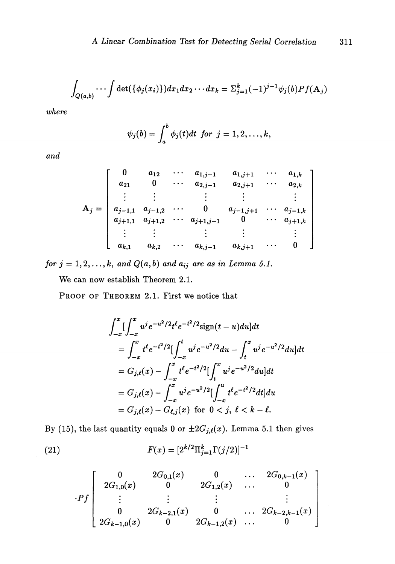$$
\int_{Q(a,b)} \cdots \int \det(\{\phi_j(x_i)\}) dx_1 dx_2 \cdots dx_k = \sum_{j=1}^k (-1)^{j-1} \psi_j(b) Pf(\mathbf{A}_j)
$$

*where*

$$
\psi_j(b)=\int_a^b\phi_j(t)dt \ \ for \ \ j=1,2,\ldots,k,
$$

*and*

$$
A_j = \begin{bmatrix} 0 & a_{12} & \cdots & a_{1,j-1} & a_{1,j+1} & \cdots & a_{1,k} \\ a_{21} & 0 & \cdots & a_{2,j-1} & a_{2,j+1} & \cdots & a_{2,k} \\ \vdots & \vdots & & \vdots & & \vdots & & \vdots \\ a_{j-1,1} & a_{j-1,2} & \cdots & 0 & a_{j-1,j+1} & \cdots & a_{j-1,k} \\ a_{j+1,1} & a_{j+1,2} & \cdots & a_{j+1,j-1} & 0 & \cdots & a_{j+1,k} \\ \vdots & \vdots & & \vdots & & \vdots & & \vdots \\ a_{k,1} & a_{k,2} & \cdots & a_{k,j-1} & a_{k,j+1} & \cdots & 0 \end{bmatrix}
$$

for  $j = 1, 2, ..., k$ , and  $Q(a, b)$  and  $a_{ij}$  are as in Lemma 5.1.

We can now establish Theorem 2.1.

PROOF OF THEOREM 2.1. First we notice that

$$
\int_{-x}^{x} \left[ \int_{-x}^{x} u^{j} e^{-u^{2}/2} t^{l} e^{-t^{2}/2} \text{sign}(t-u) du \right] dt
$$
\n
$$
= \int_{-x}^{x} t^{l} e^{-t^{2}/2} \left[ \int_{-x}^{t} u^{j} e^{-u^{2}/2} du - \int_{t}^{x} u^{j} e^{-u^{2}/2} du \right] dt
$$
\n
$$
= G_{j,\ell}(x) - \int_{-x}^{x} t^{l} e^{-t^{2}/2} \left[ \int_{t}^{x} u^{j} e^{-u^{2}/2} du \right] dt
$$
\n
$$
= G_{j,\ell}(x) - \int_{-x}^{x} u^{j} e^{-u^{2}/2} \left[ \int_{-x}^{u} t^{l} e^{-t^{2}/2} dt \right] du
$$
\n
$$
= G_{j,\ell}(x) - G_{\ell,j}(x) \text{ for } 0 < j, \ell < k - \ell.
$$

By (15), the last quantity equals 0 or  $\pm 2G_{j,\ell}(x)$ . Lemma 5.1 then gives

(21) 
$$
F(x) = [2^{k/2} \Pi_{j=1}^{k} \Gamma(j/2)]^{-1}
$$

$$
\cdot Pf \left[ \begin{array}{ccccc} 0 & 2G_{0,1}(x) & 0 & \dots & 2G_{0,k-1}(x) \\ 2G_{1,0}(x) & 0 & 2G_{1,2}(x) & \dots & 0 \\ \vdots & \vdots & \vdots & & \vdots \\ 0 & 2G_{k-2,1}(x) & 0 & \dots & 2G_{k-2,k-1}(x) \\ 2G_{k-1,0}(x) & 0 & 2G_{k-1,2}(x) & \dots & 0 \end{array} \right]
$$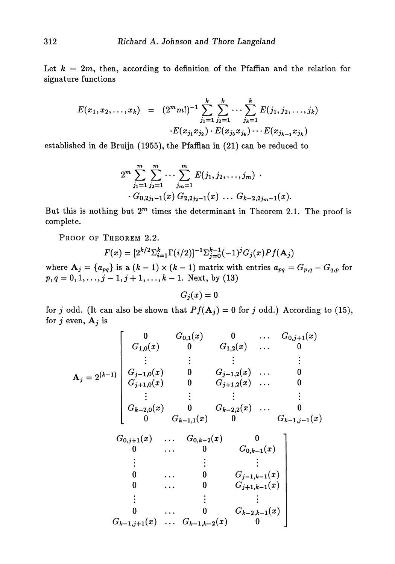Let  $k = 2m$ , then, according to definition of the Pfaffian and the relation for signature functions

$$
E(x_1, x_2,..., x_k) = (2^m m!)^{-1} \sum_{j_1=1}^k \sum_{j_2=1}^k \cdots \sum_{j_k=1}^k E(j_1, j_2,..., j_k)
$$

$$
\cdot E(x_{j_1} x_{j_2}) \cdot E(x_{j_3} x_{j_4}) \cdots E(x_{j_{k-1}} x_{j_k})
$$

established in de Bruijn (1955), the Pfaffian in (21) can be reduced to

$$
2^m \sum_{j_1=1}^m \sum_{j_2=1}^m \cdots \sum_{j_m=1}^m E(j_1, j_2, \ldots, j_m) \cdot \cdot G_{0,2j_1-1}(x) G_{2,2j_2-1}(x) \ldots G_{k-2,2j_m-1}(x).
$$

But this is nothing but  $2^m$  times the determinant in Theorem 2.1. The proof is complete.

PROOF OF THEOREM 2.2.

$$
F(x) = [2^{k/2} \Sigma_{i=1}^{k} \Gamma(i/2)]^{-1} \Sigma_{j=0}^{k-1} (-1)^{j} G_{j}(x) Pf(\mathbf{A}_{j})
$$

where  $A_j = \{a_{pq}\}$  is a  $(k-1) \times (k-1)$  matrix with entries  $a_{pq} = G_{p,q} - G_{q,p}$  for  $p, q = 0, 1, \ldots, j - 1, j + 1, \ldots, k - 1$ . Next, by (13)

$$
G_j(x)=0
$$

for *j* odd. (It can also be shown that  $Pf(A_j) = 0$  for *j* odd.) According to (15), for  $j$  even,  $A_j$  is

$$
A_j = 2^{(k-1)} \begin{bmatrix} 0 & G_{0,1}(x) & 0 & \dots & G_{0,j+1}(x) \\ G_{1,0}(x) & 0 & G_{1,2}(x) & \dots & 0 \\ \vdots & \vdots & \vdots & & \vdots \\ G_{j-1,0}(x) & 0 & G_{j-1,2}(x) & \dots & 0 \\ G_{j+1,0}(x) & 0 & G_{j+1,2}(x) & \dots & 0 \\ \vdots & \vdots & \vdots & & \vdots \\ G_{k-2,0}(x) & 0 & G_{k-2,2}(x) & \dots & 0 \\ 0 & G_{k-1,1}(x) & 0 & G_{k-1,j-1}(x) \\ G_{0,j+1}(x) & \dots & G_{0,k-2}(x) & 0 \\ 0 & \dots & 0 & G_{0,k-1}(x) \\ \vdots & \vdots & \vdots & \vdots \\ 0 & \dots & 0 & G_{j-1,k-1}(x) \\ 0 & \dots & 0 & G_{j+1,k-1}(x) \\ \vdots & \vdots & \vdots & \vdots \\ 0 & \dots & 0 & G_{k-2,k-1}(x) \\ G_{k-1,j+1}(x) & \dots & G_{k-1,k-2}(x) & 0 \end{bmatrix}
$$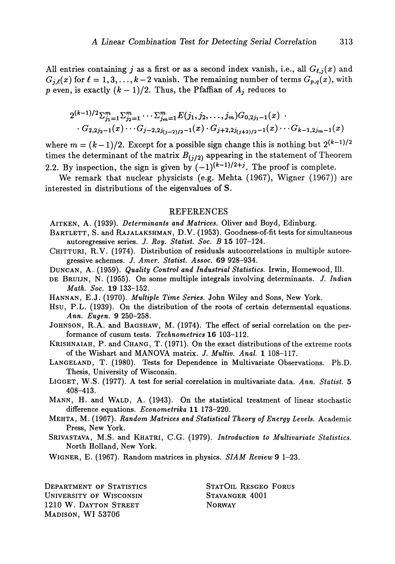All entries containing j as a first or as a second index vanish, i.e., all  $G_{\ell,j}(x)$  and  $G_{j,\ell}(x)$  for  $\ell = 1,3,\ldots,k-2$  vanish. The remaining number of terms  $G_{p,q}(x)$ , with *p* even, is exactly  $(k-1)/2$ . Thus, the Pfaffian of  $A_j$  reduces to

$$
2^{(k-1)/2} \sum_{j_1=1}^m \sum_{j_2=1}^m \cdots \sum_{j_m=1}^m E(j_1, j_2, \ldots, j_m) G_{0,2j_1-1}(x) \cdot \cdots G_{2,2j_2-1}(x) \cdots G_{j-2,2j_{(j-2)/2}-1}(x) \cdot G_{j+2,2j_{(j+2)/2}-1}(x) \cdots G_{k-1,2j_m-1}(x)
$$

where  $m = (k-1)/2$ . Except for a possible sign change this is nothing but  $2^{(k-1)/2}$ times the determinant of the matrix  $B_{(j/2)}$  appearing in the statement of Theorem 2.2. By inspection, the sign is given by  $(-1)^{(k-1)/2+j}$ . The proof is complete.

We remark that nuclear physicists (e.g. Mehta (1967), Wigner (1967)) are interested in distributions of the eigenvalues of S.

## REFERENCES

AlTKEN, A. (1939). *Determinants and Matrices.* Oliver and Boyd, Edinburg.

- BARTLETT, S. and RAJALAKSHMAN, D.V. (1953). Goodness-of-fit tests for simultaneous autoregressive series. *J. Roy. Statist. Soc. B* 15 107-124.
- CHITTURI, R.V. (1974). Distribution of residuals autocorrelations in multiple autore gressive schemes. *J. Amer. Statist. Assoc.* 69 928-934.
- DUNCAN, A. (1959). *Quality Control and Industrial Statistics.* Irwin, Homewood, 111.
- DE BRUIJN, N. (1955). On some multiple integrals involving determinants. *J. Indian Math. Soc.* 19 133-152.
- HANNAN, E.J. (1970). *Multiple Time Series*. John Wiley and Sons, New York.
- Hsu, P.L. (1939). On the distribution of the roots of certain determental equations. *Ann. Eugen.* 9 250-258.
- JOHNSON, R.A. and BAGSHAW, M. (1974). The effect of serial correlation on the per formance of cusum tests. *Technometrics* 16 103-112.
- KRISHNAIAH, P. and CHANG, T. (1971). On the exact distributions of the extreme roots of the Wishart and MANOVA matrix. *J. Multiv. Anal.* 1 108-117.
- LANGELAND, T. (1980). Tests for Dependence in Multivariate Observations. Ph.D. Thesis, University of Wisconsin.
- LIGGET, W.S. (1977). A test for serial correlation in multivariate data. *Ann. Statist.* 5 408-413.
- MANN, H. and WALD, A. (1943). On the statistical treatment of linear stochastic difference equations. *Econometrika* 11 173-220.
- MEHTA, M. (1967). *Random Matrices and Statistical Theory of Energy Levels.* Academic Press, New York.
- SRIVASTAVA, M.S. and KHATRI, C.G. (1979). *Introduction to Multivariate Statistics.* North Holland, New York.

WIGNER, E. (1967). Random matrices in physics. *SIAM Review* 9 1-23.

DEPARTMENT OF STATISTICS STATOIL RESGEO FORUS UNIVERSITY OF WISCONSIN STAVANGER 4001 1210 W. DAYTON STREET NORWAY MADISON, WI 53706